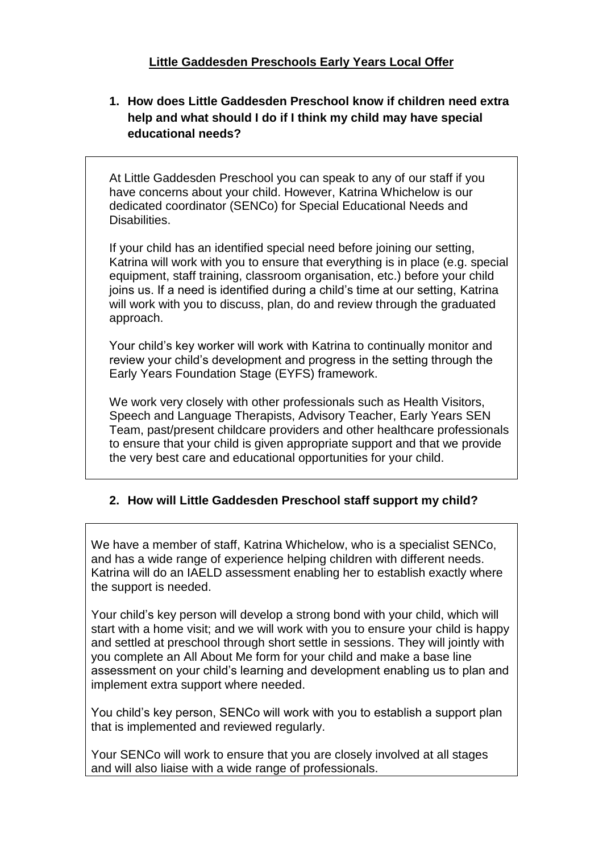## **Little Gaddesden Preschools Early Years Local Offer**

**1. How does Little Gaddesden Preschool know if children need extra help and what should I do if I think my child may have special educational needs?**

At Little Gaddesden Preschool you can speak to any of our staff if you have concerns about your child. However, Katrina Whichelow is our dedicated coordinator (SENCo) for Special Educational Needs and Disabilities.

If your child has an identified special need before joining our setting, Katrina will work with you to ensure that everything is in place (e.g. special equipment, staff training, classroom organisation, etc.) before your child joins us. If a need is identified during a child's time at our setting, Katrina will work with you to discuss, plan, do and review through the graduated approach.

Your child's key worker will work with Katrina to continually monitor and review your child's development and progress in the setting through the Early Years Foundation Stage (EYFS) framework.

We work very closely with other professionals such as Health Visitors, Speech and Language Therapists, Advisory Teacher, Early Years SEN Team, past/present childcare providers and other healthcare professionals to ensure that your child is given appropriate support and that we provide the very best care and educational opportunities for your child.

# **2. How will Little Gaddesden Preschool staff support my child?**

We have a member of staff, Katrina Whichelow, who is a specialist SENCo, and has a wide range of experience helping children with different needs. Katrina will do an IAELD assessment enabling her to establish exactly where the support is needed.

Your child's key person will develop a strong bond with your child, which will start with a home visit; and we will work with you to ensure your child is happy and settled at preschool through short settle in sessions. They will jointly with you complete an All About Me form for your child and make a base line assessment on your child's learning and development enabling us to plan and implement extra support where needed.

You child's key person, SENCo will work with you to establish a support plan that is implemented and reviewed regularly.

Your SENCo will work to ensure that you are closely involved at all stages and will also liaise with a wide range of professionals.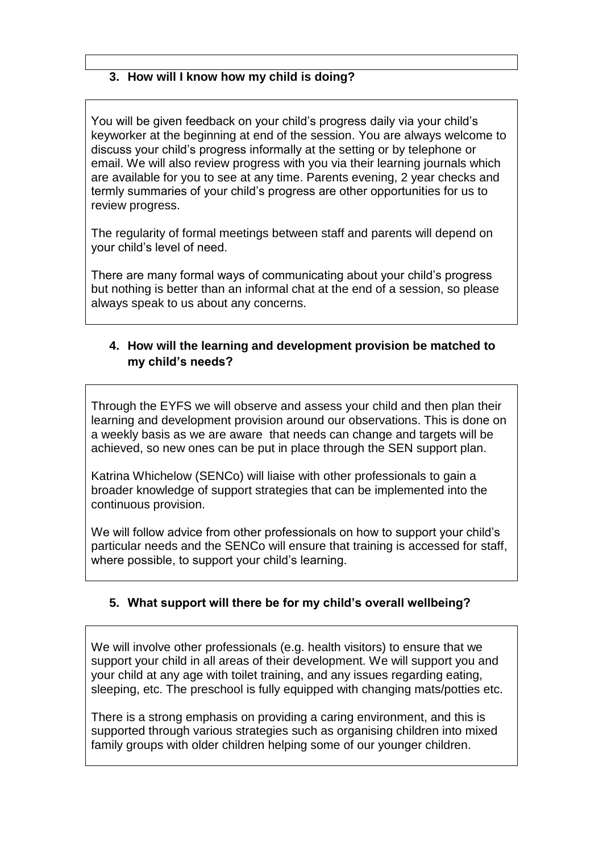## **3. How will I know how my child is doing?**

You will be given feedback on your child's progress daily via your child's keyworker at the beginning at end of the session. You are always welcome to discuss your child's progress informally at the setting or by telephone or email. We will also review progress with you via their learning journals which are available for you to see at any time. Parents evening, 2 year checks and termly summaries of your child's progress are other opportunities for us to review progress.

The regularity of formal meetings between staff and parents will depend on your child's level of need.

There are many formal ways of communicating about your child's progress but nothing is better than an informal chat at the end of a session, so please always speak to us about any concerns.

## **4. How will the learning and development provision be matched to my child's needs?**

Through the EYFS we will observe and assess your child and then plan their learning and development provision around our observations. This is done on a weekly basis as we are aware that needs can change and targets will be achieved, so new ones can be put in place through the SEN support plan.

Katrina Whichelow (SENCo) will liaise with other professionals to gain a broader knowledge of support strategies that can be implemented into the continuous provision.

We will follow advice from other professionals on how to support your child's particular needs and the SENCo will ensure that training is accessed for staff, where possible, to support your child's learning.

## **5. What support will there be for my child's overall wellbeing?**

We will involve other professionals (e.g. health visitors) to ensure that we support your child in all areas of their development. We will support you and your child at any age with toilet training, and any issues regarding eating, sleeping, etc. The preschool is fully equipped with changing mats/potties etc.

There is a strong emphasis on providing a caring environment, and this is supported through various strategies such as organising children into mixed family groups with older children helping some of our younger children.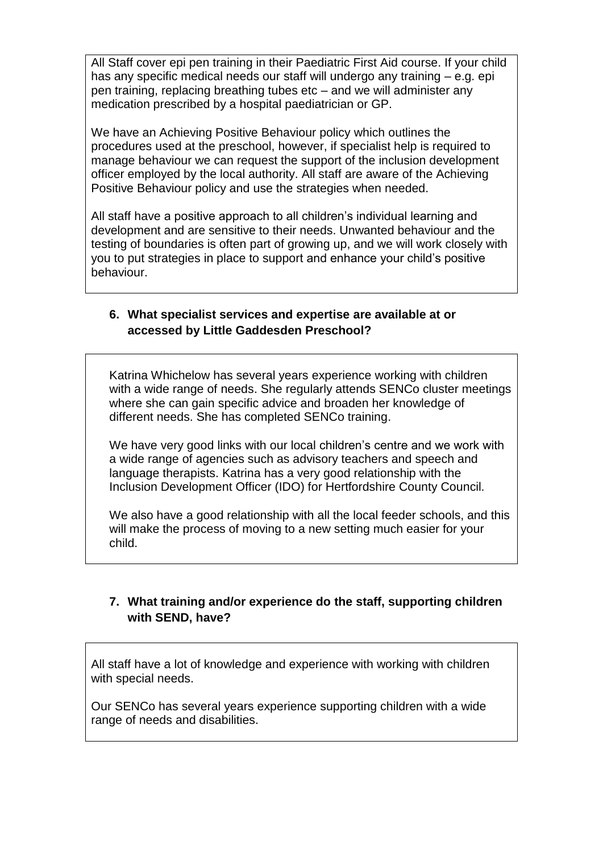All Staff cover epi pen training in their Paediatric First Aid course. If your child has any specific medical needs our staff will undergo any training – e.g. epi pen training, replacing breathing tubes etc – and we will administer any medication prescribed by a hospital paediatrician or GP.

We have an Achieving Positive Behaviour policy which outlines the procedures used at the preschool, however, if specialist help is required to manage behaviour we can request the support of the inclusion development officer employed by the local authority. All staff are aware of the Achieving Positive Behaviour policy and use the strategies when needed.

All staff have a positive approach to all children's individual learning and development and are sensitive to their needs. Unwanted behaviour and the testing of boundaries is often part of growing up, and we will work closely with you to put strategies in place to support and enhance your child's positive behaviour.

#### **6. What specialist services and expertise are available at or accessed by Little Gaddesden Preschool?**

Katrina Whichelow has several years experience working with children with a wide range of needs. She regularly attends SENCo cluster meetings where she can gain specific advice and broaden her knowledge of different needs. She has completed SENCo training.

We have very good links with our local children's centre and we work with a wide range of agencies such as advisory teachers and speech and language therapists. Katrina has a very good relationship with the Inclusion Development Officer (IDO) for Hertfordshire County Council.

We also have a good relationship with all the local feeder schools, and this will make the process of moving to a new setting much easier for your child.

## **7. What training and/or experience do the staff, supporting children with SEND, have?**

All staff have a lot of knowledge and experience with working with children with special needs.

Our SENCo has several years experience supporting children with a wide range of needs and disabilities.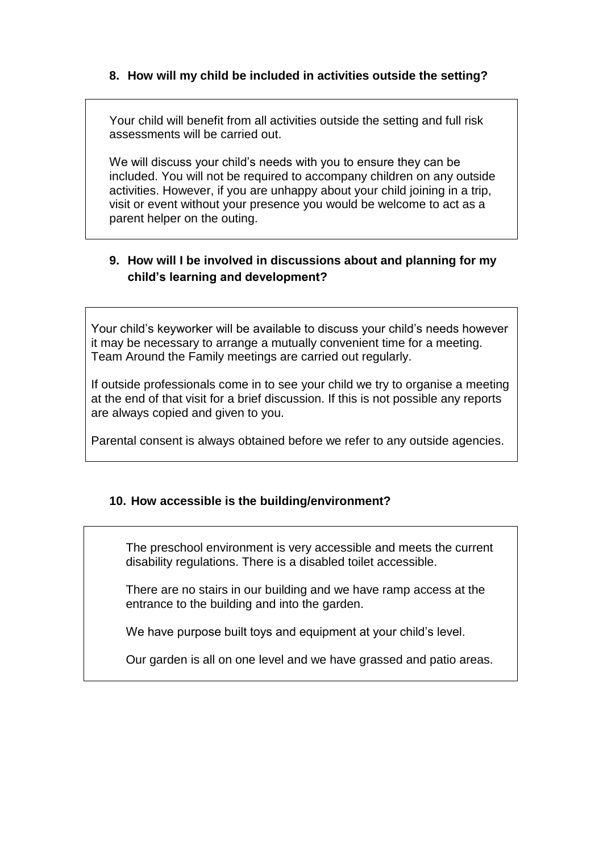## **8. How will my child be included in activities outside the setting?**

Your child will benefit from all activities outside the setting and full risk assessments will be carried out.

We will discuss your child's needs with you to ensure they can be included. You will not be required to accompany children on any outside activities. However, if you are unhappy about your child joining in a trip, visit or event without your presence you would be welcome to act as a parent helper on the outing.

## **9. How will I be involved in discussions about and planning for my child's learning and development?**

Your child's keyworker will be available to discuss your child's needs however it may be necessary to arrange a mutually convenient time for a meeting. Team Around the Family meetings are carried out regularly.

If outside professionals come in to see your child we try to organise a meeting at the end of that visit for a brief discussion. If this is not possible any reports are always copied and given to you.

Parental consent is always obtained before we refer to any outside agencies.

## **10. How accessible is the building/environment?**

The preschool environment is very accessible and meets the current disability regulations. There is a disabled toilet accessible.

There are no stairs in our building and we have ramp access at the entrance to the building and into the garden.

We have purpose built toys and equipment at your child's level.

Our garden is all on one level and we have grassed and patio areas.